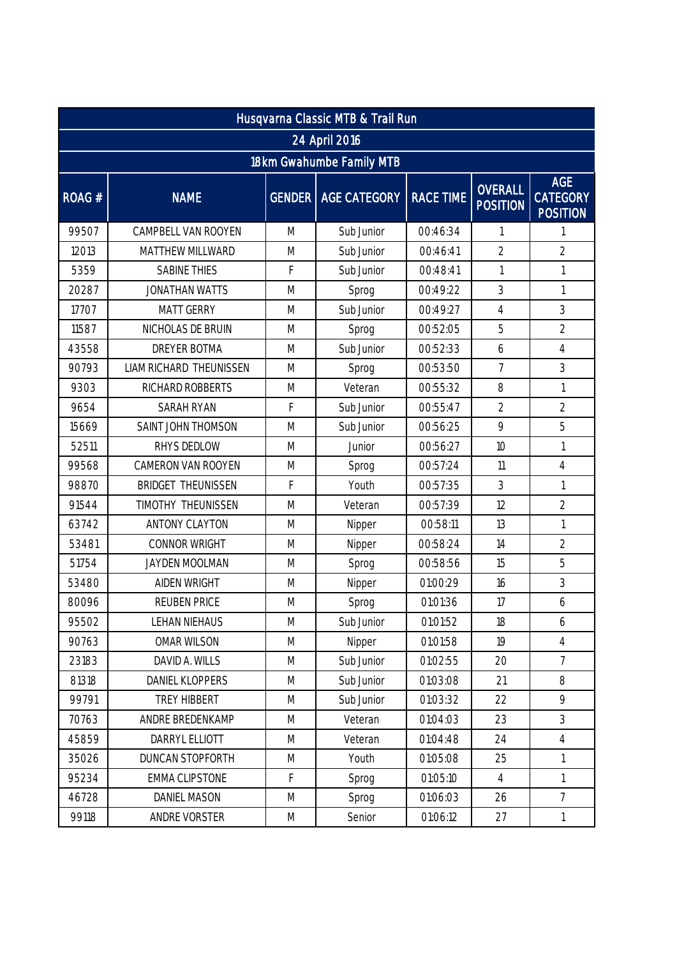| Husqvarna Classic MTB & Trail Run |                           |                                                                                                            |                       |                  |                                   |                                                  |  |  |  |
|-----------------------------------|---------------------------|------------------------------------------------------------------------------------------------------------|-----------------------|------------------|-----------------------------------|--------------------------------------------------|--|--|--|
|                                   | 24 April 2016             |                                                                                                            |                       |                  |                                   |                                                  |  |  |  |
| 18km Gwahumbe Family MTB          |                           |                                                                                                            |                       |                  |                                   |                                                  |  |  |  |
| ROAG #                            | <b>NAME</b>               |                                                                                                            | GENDER   AGE CATEGORY | <b>RACE TIME</b> | <b>OVERALL</b><br><b>POSITION</b> | <b>AGE</b><br><b>CATEGORY</b><br><b>POSITION</b> |  |  |  |
| 99507                             | CAMPBELL VAN ROOYEN       | M                                                                                                          | Sub Junior            | 00:46:34         | 1                                 | $\mathbf{1}$                                     |  |  |  |
| 12013                             | MATTHEW MILLWARD          | M                                                                                                          | Sub Junior            | 00:46:41         | $\overline{2}$                    | $\overline{2}$                                   |  |  |  |
| 5359                              | <b>SABINE THIES</b>       | F                                                                                                          | Sub Junior            | 00:48:41         | 1                                 | $\mathbf{1}$                                     |  |  |  |
| 20287                             | <b>JONATHAN WATTS</b>     | M                                                                                                          | Sprog                 | 00:49:22         | 3                                 | $\mathbf{1}$                                     |  |  |  |
| 17707                             | <b>MATT GERRY</b>         | M                                                                                                          | Sub Junior            | 00:49:27         | $\overline{4}$                    | 3                                                |  |  |  |
| 11587                             | NICHOLAS DE BRUIN         | M                                                                                                          | Sprog                 | 00:52:05         | 5                                 | $\overline{2}$                                   |  |  |  |
| 43558                             | <b>DREYER BOTMA</b>       | M                                                                                                          | Sub Junior            | 00:52:33         | 6                                 | $\overline{4}$                                   |  |  |  |
| 90793                             | LIAM RICHARD THEUNISSEN   | M                                                                                                          | Sprog                 | 00:53:50         | $\overline{7}$                    | 3                                                |  |  |  |
| 9303                              | RICHARD ROBBERTS          | M                                                                                                          | Veteran               | 00:55:32         | 8                                 | $\mathbf{1}$                                     |  |  |  |
| 9654                              | <b>SARAH RYAN</b>         | F                                                                                                          | Sub Junior            | 00:55:47         | $\overline{2}$                    | $\overline{2}$                                   |  |  |  |
| 15669                             | SAINT JOHN THOMSON        | M                                                                                                          | Sub Junior            | 00:56:25         | 9                                 | 5                                                |  |  |  |
| 52511                             | RHYS DEDLOW               | M                                                                                                          | Junior                | 00:56:27         | 10                                | $\mathbf{1}$                                     |  |  |  |
| 99568                             | CAMERON VAN ROOYEN        | M                                                                                                          | Sprog                 | 00:57:24         | 11                                | $\overline{4}$                                   |  |  |  |
| 98870                             | <b>BRIDGET THEUNISSEN</b> | F                                                                                                          | Youth                 | 00:57:35         | 3                                 | $\mathbf{1}$                                     |  |  |  |
| 91544                             | TIMOTHY THEUNISSEN        | M                                                                                                          | Veteran               | 00:57:39         | 12                                | $\overline{2}$                                   |  |  |  |
| 63742                             | ANTONY CLAYTON            | M                                                                                                          | Nipper                | 00:58:11         | 13                                | $\mathbf{1}$                                     |  |  |  |
| 53481                             | CONNOR WRIGHT             | M                                                                                                          | Nipper                | 00:58:24         | 14                                | $\overline{2}$                                   |  |  |  |
| 51754                             | JAYDEN MOOLMAN            | M                                                                                                          | Sprog                 | 00:58:56         | 15                                | 5                                                |  |  |  |
| 53480                             | <b>AIDEN WRIGHT</b>       | M                                                                                                          | Nipper                | 01:00:29         | 16                                | 3                                                |  |  |  |
| 80096                             | <b>REUBEN PRICE</b>       | M                                                                                                          | Sprog                 | 01:01:36         | 17                                | 6                                                |  |  |  |
| 95502                             | LEHAN NIEHAUS             | M                                                                                                          | Sub Junior            | 01:01:52         | 18                                | 6                                                |  |  |  |
| 90763                             | OMAR WILSON               | M                                                                                                          | Nipper                | 01:01:58         | 19                                | $\overline{4}$                                   |  |  |  |
| 23183                             | DAVID A. WILLS            | M                                                                                                          | Sub Junior            | 01:02:55         | 20                                | $\overline{7}$                                   |  |  |  |
| 81318                             | DANIEL KLOPPERS           | M                                                                                                          | Sub Junior            | 01:03:08         | 21                                | 8                                                |  |  |  |
| 99791                             | TREY HIBBERT              | M                                                                                                          | Sub Junior            | 01:03:32         | 22                                | 9                                                |  |  |  |
| 70763                             | ANDRE BREDENKAMP          | M                                                                                                          | Veteran               | 01:04:03         | 23                                | 3                                                |  |  |  |
| 45859                             | DARRYL ELLIOTT            | M                                                                                                          | Veteran               | 01:04:48         | 24                                | $\overline{4}$                                   |  |  |  |
| 35026                             | DUNCAN STOPFORTH          | M                                                                                                          | Youth                 | 01:05:08         | 25                                | $\mathbf{1}$                                     |  |  |  |
| 95234                             | <b>EMMA CLIPSTONE</b>     | F                                                                                                          | Sprog                 | 01:05:10         | $\overline{4}$                    | $\mathbf{1}$                                     |  |  |  |
| 46728                             | <b>DANIEL MASON</b>       | $\mathsf{M}% _{T}=\mathsf{M}_{T}\!\left( a,b\right) ,\ \mathsf{M}_{T}=\mathsf{M}_{T}\!\left( a,b\right) ,$ | Sprog                 | 01:06:03         | 26                                | $\overline{7}$                                   |  |  |  |
| 99118                             | ANDRE VORSTER             | ${\sf M}$                                                                                                  | Senior                | 01:06:12         | 27                                | $\mathbf{1}$                                     |  |  |  |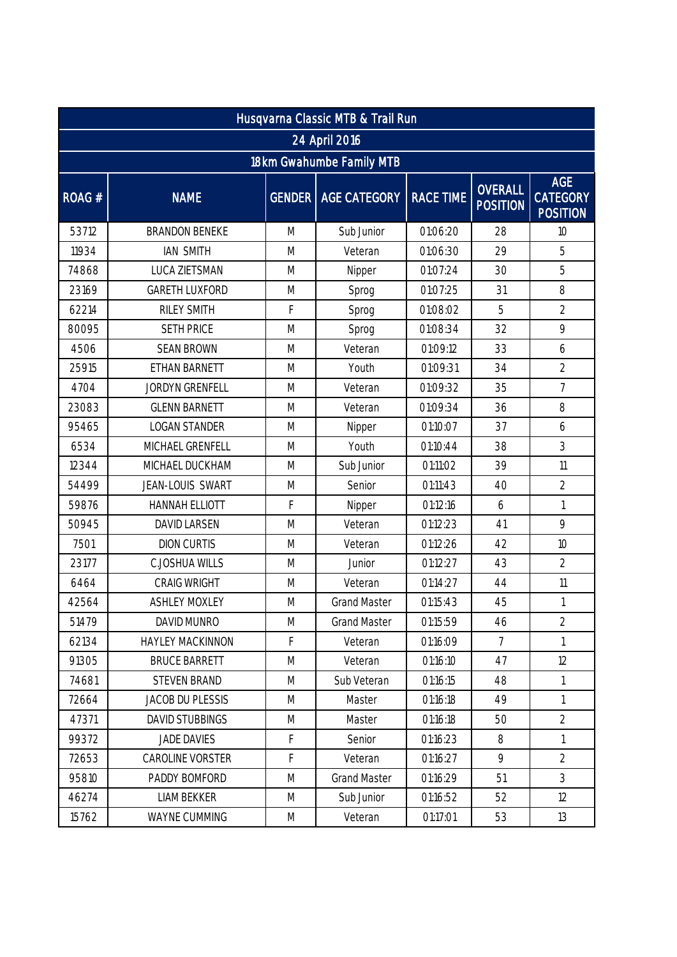| Husqvarna Classic MTB & Trail Run |                         |   |                       |                  |                                   |                                                  |  |  |
|-----------------------------------|-------------------------|---|-----------------------|------------------|-----------------------------------|--------------------------------------------------|--|--|
| 24 April 2016                     |                         |   |                       |                  |                                   |                                                  |  |  |
| 18km Gwahumbe Family MTB          |                         |   |                       |                  |                                   |                                                  |  |  |
| ROAG#                             | <b>NAME</b>             |   | GENDER   AGE CATEGORY | <b>RACE TIME</b> | <b>OVERALL</b><br><b>POSITION</b> | <b>AGE</b><br><b>CATEGORY</b><br><b>POSITION</b> |  |  |
| 53712                             | <b>BRANDON BENEKE</b>   | M | Sub Junior            | 01:06:20         | 28                                | 10                                               |  |  |
| 11934                             | <b>IAN SMITH</b>        | M | Veteran               | 01:06:30         | 29                                | 5                                                |  |  |
| 74868                             | <b>LUCA ZIETSMAN</b>    | M | Nipper                | 01:07:24         | 30                                | 5                                                |  |  |
| 23169                             | <b>GARETH LUXFORD</b>   | M | Sprog                 | 01:07:25         | 31                                | 8                                                |  |  |
| 62214                             | RILEY SMITH             | F | Sprog                 | 01:08:02         | 5                                 | $\overline{2}$                                   |  |  |
| 80095                             | <b>SETH PRICE</b>       | M | Sprog                 | 01:08:34         | 32                                | 9                                                |  |  |
| 4506                              | <b>SEAN BROWN</b>       | M | Veteran               | 01:09:12         | 33                                | 6                                                |  |  |
| 25915                             | ETHAN BARNETT           | M | Youth                 | 01:09:31         | 34                                | $\overline{2}$                                   |  |  |
| 4704                              | <b>JORDYN GRENFELL</b>  | M | Veteran               | 01:09:32         | 35                                | $\overline{7}$                                   |  |  |
| 23083                             | <b>GLENN BARNETT</b>    | M | Veteran               | 01:09:34         | 36                                | 8                                                |  |  |
| 95465                             | <b>LOGAN STANDER</b>    | M | Nipper                | 01:10:07         | 37                                | 6                                                |  |  |
| 6534                              | MICHAEL GRENFELL        | M | Youth                 | 01:10:44         | 38                                | 3                                                |  |  |
| 12344                             | MICHAEL DUCKHAM         | M | Sub Junior            | 01:11:02         | 39                                | 11                                               |  |  |
| 54499                             | JEAN-LOUIS SWART        | M | Senior                | 01:11:43         | 40                                | $\overline{2}$                                   |  |  |
| 59876                             | <b>HANNAH ELLIOTT</b>   | F | Nipper                | 01:12:16         | 6                                 | $\mathbf{1}$                                     |  |  |
| 50945                             | <b>DAVID LARSEN</b>     | M | Veteran               | 01:12:23         | 41                                | 9                                                |  |  |
| 7501                              | <b>DION CURTIS</b>      | M | Veteran               | 01:12:26         | 42                                | 10                                               |  |  |
| 23177                             | <b>C.JOSHUA WILLS</b>   | M | Junior                | 01:12:27         | 43                                | $\overline{2}$                                   |  |  |
| 6464                              | <b>CRAIG WRIGHT</b>     | M | Veteran               | 01:14:27         | 44                                | 11                                               |  |  |
| 42564                             | <b>ASHLEY MOXLEY</b>    | M | <b>Grand Master</b>   | 01:15:43         | 45                                | $\mathbf{1}$                                     |  |  |
| 51479                             | DAVID MUNRO             | M | <b>Grand Master</b>   | 01:15:59         | 46                                | $\overline{2}$                                   |  |  |
| 62134                             | HAYLEY MACKINNON        | F | Veteran               | 01:16:09         | $\overline{7}$                    | $\mathbf{1}$                                     |  |  |
| 91305                             | <b>BRUCE BARRETT</b>    | M | Veteran               | 01:16:10         | 47                                | 12                                               |  |  |
| 74681                             | <b>STEVEN BRAND</b>     | M | Sub Veteran           | 01:16:15         | 48                                | $\mathbf{1}$                                     |  |  |
| 72664                             | <b>JACOB DU PLESSIS</b> | M | Master                | 01:16:18         | 49                                | $\mathbf{1}$                                     |  |  |
| 47371                             | DAVID STUBBINGS         | M | Master                | 01:16:18         | 50                                | $\overline{2}$                                   |  |  |
| 99372                             | <b>JADE DAVIES</b>      | F | Senior                | 01:16:23         | 8                                 | $\mathbf{1}$                                     |  |  |
| 72653                             | CAROLINE VORSTER        | F | Veteran               | 01:16:27         | 9                                 | $\overline{2}$                                   |  |  |
| 95810                             | PADDY BOMFORD           | M | <b>Grand Master</b>   | 01:16:29         | 51                                | 3                                                |  |  |
| 46274                             | <b>LIAM BEKKER</b>      | M | Sub Junior            | 01:16:52         | 52                                | 12                                               |  |  |
| 15762                             | WAYNE CUMMING           | M | Veteran               | 01:17:01         | 53                                | 13                                               |  |  |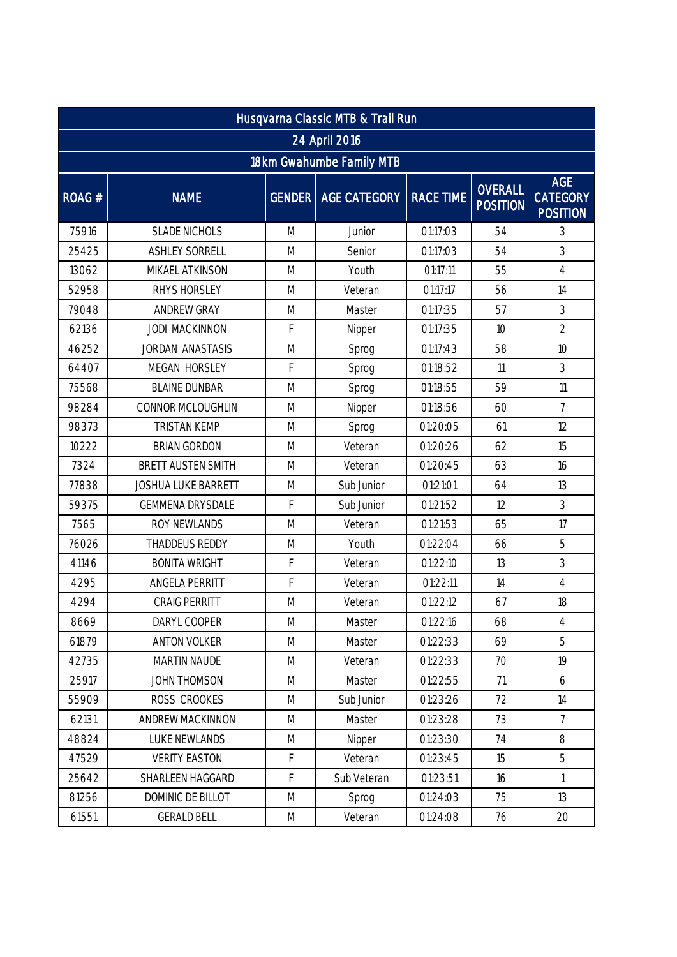| Husqvarna Classic MTB & Trail Run |                            |           |                       |                  |                            |                                                  |  |  |
|-----------------------------------|----------------------------|-----------|-----------------------|------------------|----------------------------|--------------------------------------------------|--|--|
| 24 April 2016                     |                            |           |                       |                  |                            |                                                  |  |  |
| 18km Gwahumbe Family MTB          |                            |           |                       |                  |                            |                                                  |  |  |
| ROAG#                             | <b>NAME</b>                |           | GENDER   AGE CATEGORY | <b>RACE TIME</b> | OVERALL<br><b>POSITION</b> | <b>AGE</b><br><b>CATEGORY</b><br><b>POSITION</b> |  |  |
| 75916                             | <b>SLADE NICHOLS</b>       | M         | Junior                | 01:17:03         | 54                         | 3                                                |  |  |
| 25425                             | <b>ASHLEY SORRELL</b>      | M         | Senior                | 01:17:03         | 54                         | 3                                                |  |  |
| 13062                             | MIKAEL ATKINSON            | M         | Youth                 | 01:17:11         | 55                         | $\overline{4}$                                   |  |  |
| 52958                             | RHYS HORSLEY               | M         | Veteran               | 01:17:17         | 56                         | 14                                               |  |  |
| 79048                             | ANDREW GRAY                | M         | Master                | 01:17:35         | 57                         | 3                                                |  |  |
| 62136                             | <b>JODI MACKINNON</b>      | F         | Nipper                | 01:17:35         | 10                         | $\overline{2}$                                   |  |  |
| 46252                             | JORDAN ANASTASIS           | M         | Sprog                 | 01:17:43         | 58                         | 10                                               |  |  |
| 64407                             | MEGAN HORSLEY              | F         | Sprog                 | 01:18:52         | 11                         | 3                                                |  |  |
| 75568                             | <b>BLAINE DUNBAR</b>       | M         | Sprog                 | 01:18:55         | 59                         | 11                                               |  |  |
| 98284                             | CONNOR MCLOUGHLIN          | M         | Nipper                | 01:18:56         | 60                         | $\overline{7}$                                   |  |  |
| 98373                             | <b>TRISTAN KEMP</b>        | M         | Sprog                 | 01:20:05         | 61                         | 12                                               |  |  |
| 10222                             | <b>BRIAN GORDON</b>        | M         | Veteran               | 01:20:26         | 62                         | 15                                               |  |  |
| 7324                              | <b>BRETT AUSTEN SMITH</b>  | M         | Veteran               | 01:20:45         | 63                         | 16                                               |  |  |
| 77838                             | <b>JOSHUA LUKE BARRETT</b> | M         | Sub Junior            | 01:21:01         | 64                         | 13                                               |  |  |
| 59375                             | <b>GEMMENA DRYSDALE</b>    | F         | Sub Junior            | 01:21:52         | 12                         | 3                                                |  |  |
| 7565                              | ROY NEWLANDS               | M         | Veteran               | 01:21:53         | 65                         | 17                                               |  |  |
| 76026                             | <b>THADDEUS REDDY</b>      | M         | Youth                 | 01:22:04         | 66                         | 5                                                |  |  |
| 41146                             | <b>BONITA WRIGHT</b>       | F         | Veteran               | 01:22:10         | 13                         | 3                                                |  |  |
| 4295                              | ANGELA PERRITT             | F         | Veteran               | 01:22:11         | 14                         | $\overline{4}$                                   |  |  |
| 4294                              | <b>CRAIG PERRITT</b>       | M         | Veteran               | 01:22:12         | 67                         | 18                                               |  |  |
| 8669                              | DARYL COOPER               | M         | Master                | 01:22:16         | 68                         | $\overline{4}$                                   |  |  |
| 61879                             | <b>ANTON VOLKER</b>        | M         | Master                | 01:22:33         | 69                         | 5                                                |  |  |
| 42735                             | MARTIN NAUDE               | M         | Veteran               | 01:22:33         | 70                         | 19                                               |  |  |
| 25917                             | JOHN THOMSON               | M         | Master                | 01:22:55         | 71                         | 6                                                |  |  |
| 55909                             | ROSS CROOKES               | M         | Sub Junior            | 01:23:26         | 72                         | 14                                               |  |  |
| 62131                             | ANDREW MACKINNON           | M         | Master                | 01:23:28         | 73                         | $\overline{7}$                                   |  |  |
| 48824                             | LUKE NEWLANDS              | M         | Nipper                | 01:23:30         | 74                         | 8                                                |  |  |
| 47529                             | <b>VERITY EASTON</b>       | F         | Veteran               | 01:23:45         | 15                         | 5                                                |  |  |
| 25642                             | SHARLEEN HAGGARD           | F         | Sub Veteran           | 01:23:51         | 16                         | $\mathbf{1}$                                     |  |  |
| 81256                             | DOMINIC DE BILLOT          | M         | Sprog                 | 01:24:03         | 75                         | 13                                               |  |  |
| 61551                             | <b>GERALD BELL</b>         | ${\sf M}$ | Veteran               | 01:24:08         | 76                         | 20                                               |  |  |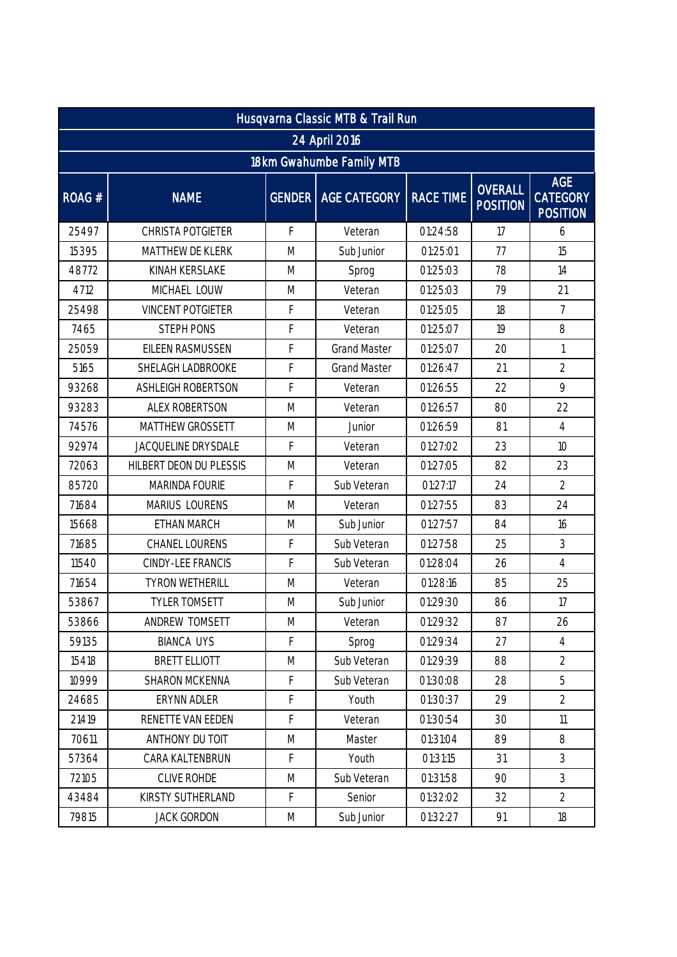| Husqvarna Classic MTB & Trail Run |                          |   |                              |                  |                            |                                                  |  |  |
|-----------------------------------|--------------------------|---|------------------------------|------------------|----------------------------|--------------------------------------------------|--|--|
| 24 April 2016                     |                          |   |                              |                  |                            |                                                  |  |  |
| 18km Gwahumbe Family MTB          |                          |   |                              |                  |                            |                                                  |  |  |
| ROAG#                             | <b>NAME</b>              |   | <b>GENDER   AGE CATEGORY</b> | <b>RACE TIME</b> | OVERALL<br><b>POSITION</b> | <b>AGE</b><br><b>CATEGORY</b><br><b>POSITION</b> |  |  |
| 25497                             | CHRISTA POTGIETER        | F | Veteran                      | 01:24:58         | 17                         | 6                                                |  |  |
| 15395                             | MATTHEW DE KLERK         | M | Sub Junior                   | 01:25:01         | 77                         | 15                                               |  |  |
| 48772                             | <b>KINAH KERSLAKE</b>    | M | Sprog                        | 01:25:03         | 78                         | 14                                               |  |  |
| 4712                              | MICHAEL LOUW             | M | Veteran                      | 01:25:03         | 79                         | 21                                               |  |  |
| 25498                             | <b>VINCENT POTGIETER</b> | F | Veteran                      | 01:25:05         | 18                         | $\overline{7}$                                   |  |  |
| 7465                              | <b>STEPH PONS</b>        | F | Veteran                      | 01:25:07         | 19                         | 8                                                |  |  |
| 25059                             | EILEEN RASMUSSEN         | F | <b>Grand Master</b>          | 01:25:07         | 20                         | $\mathbf{1}$                                     |  |  |
| 5165                              | SHELAGH LADBROOKE        | F | <b>Grand Master</b>          | 01:26:47         | 21                         | $\overline{2}$                                   |  |  |
| 93268                             | ASHLEIGH ROBERTSON       | F | Veteran                      | 01:26:55         | 22                         | 9                                                |  |  |
| 93283                             | <b>ALEX ROBERTSON</b>    | M | Veteran                      | 01:26:57         | 80                         | 22                                               |  |  |
| 74576                             | MATTHEW GROSSETT         | M | Junior                       | 01:26:59         | 81                         | $\overline{4}$                                   |  |  |
| 92974                             | JACQUELINE DRYSDALE      | F | Veteran                      | 01:27:02         | 23                         | 10                                               |  |  |
| 72063                             | HILBERT DEON DU PLESSIS  | M | Veteran                      | 01:27:05         | 82                         | 23                                               |  |  |
| 85720                             | MARINDA FOURIE           | F | Sub Veteran                  | 01:27:17         | 24                         | $\overline{2}$                                   |  |  |
| 71684                             | MARIUS LOURENS           | M | Veteran                      | 01:27:55         | 83                         | 24                                               |  |  |
| 15668                             | ETHAN MARCH              | M | Sub Junior                   | 01:27:57         | 84                         | 16                                               |  |  |
| 71685                             | CHANEL LOURENS           | F | Sub Veteran                  | 01:27:58         | 25                         | 3                                                |  |  |
| 11540                             | CINDY-LEE FRANCIS        | F | Sub Veteran                  | 01:28:04         | 26                         | $\overline{4}$                                   |  |  |
| 71654                             | <b>TYRON WETHERILL</b>   | M | Veteran                      | 01:28:16         | 85                         | 25                                               |  |  |
| 53867                             | <b>TYLER TOMSETT</b>     | M | Sub Junior                   | 01:29:30         | 86                         | 17                                               |  |  |
| 53866                             | ANDREW TOMSETT           | M | Veteran                      | 01:29:32         | 87                         | 26                                               |  |  |
| 59135                             | <b>BIANCA UYS</b>        | F | Sprog                        | 01:29:34         | 27                         | $\overline{4}$                                   |  |  |
| 15418                             | BRETT ELLIOTT            | M | Sub Veteran                  | 01:29:39         | 88                         | $\overline{2}$                                   |  |  |
| 10999                             | <b>SHARON MCKENNA</b>    | F | Sub Veteran                  | 01:30:08         | 28                         | 5                                                |  |  |
| 24685                             | ERYNN ADLER              | F | Youth                        | 01:30:37         | 29                         | $\overline{2}$                                   |  |  |
| 21419                             | RENETTE VAN EEDEN        | F | Veteran                      | 01:30:54         | 30                         | 11                                               |  |  |
| 70611                             | ANTHONY DU TOIT          | M | Master                       | 01:31:04         | 89                         | 8                                                |  |  |
| 57364                             | CARA KALTENBRUN          | F | Youth                        | 01:31:15         | 31                         | 3                                                |  |  |
| 72105                             | CLIVE ROHDE              | M | Sub Veteran                  | 01:31:58         | 90                         | 3                                                |  |  |
| 43484                             | KIRSTY SUTHERLAND        | F | Senior                       | 01:32:02         | 32                         | $\overline{2}$                                   |  |  |
| 79815                             | <b>JACK GORDON</b>       | M | Sub Junior                   | 01:32:27         | 91                         | 18                                               |  |  |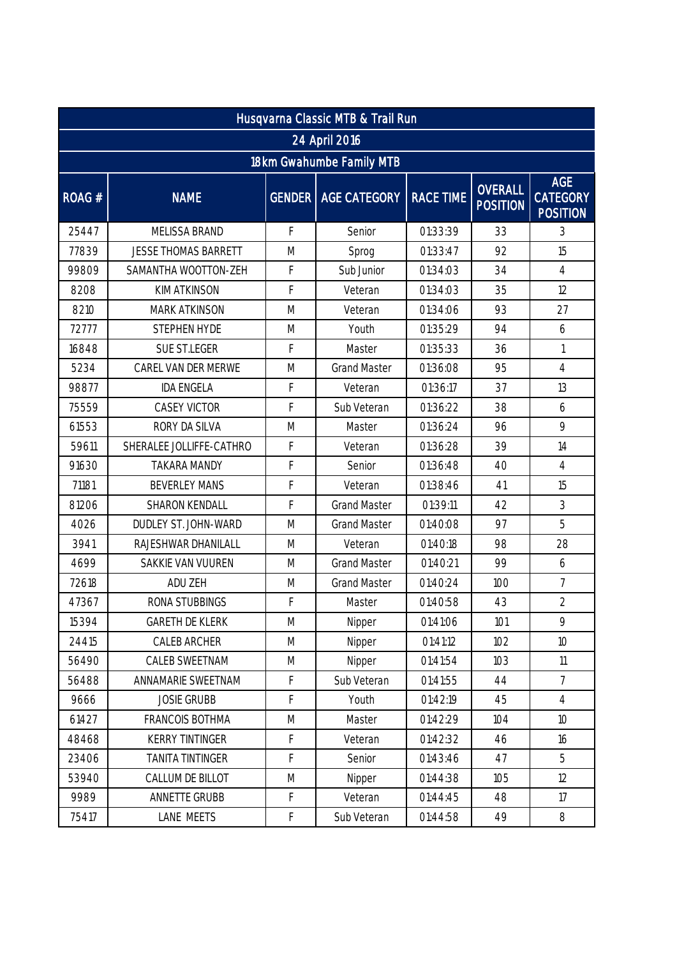| Husqvarna Classic MTB & Trail Run |                             |                                                                                                            |                              |                  |                                   |                                                  |  |  |
|-----------------------------------|-----------------------------|------------------------------------------------------------------------------------------------------------|------------------------------|------------------|-----------------------------------|--------------------------------------------------|--|--|
| 24 April 2016                     |                             |                                                                                                            |                              |                  |                                   |                                                  |  |  |
| 18km Gwahumbe Family MTB          |                             |                                                                                                            |                              |                  |                                   |                                                  |  |  |
| ROAG#                             | <b>NAME</b>                 |                                                                                                            | <b>GENDER   AGE CATEGORY</b> | <b>RACE TIME</b> | <b>OVERALL</b><br><b>POSITION</b> | <b>AGE</b><br><b>CATEGORY</b><br><b>POSITION</b> |  |  |
| 25447                             | <b>MELISSA BRAND</b>        | F                                                                                                          | Senior                       | 01:33:39         | 33                                | 3                                                |  |  |
| 77839                             | <b>JESSE THOMAS BARRETT</b> | M                                                                                                          | Sprog                        | 01:33:47         | 92                                | 15                                               |  |  |
| 99809                             | SAMANTHA WOOTTON-ZEH        | F                                                                                                          | Sub Junior                   | 01:34:03         | 34                                | $\overline{4}$                                   |  |  |
| 8208                              | <b>KIM ATKINSON</b>         | F                                                                                                          | Veteran                      | 01:34:03         | 35                                | 12                                               |  |  |
| 8210                              | <b>MARK ATKINSON</b>        | M                                                                                                          | Veteran                      | 01:34:06         | 93                                | 27                                               |  |  |
| 72777                             | <b>STEPHEN HYDE</b>         | M                                                                                                          | Youth                        | 01:35:29         | 94                                | 6                                                |  |  |
| 16848                             | SUE ST.LEGER                | F                                                                                                          | Master                       | 01:35:33         | 36                                | $\mathbf{1}$                                     |  |  |
| 5234                              | CAREL VAN DER MERWE         | M                                                                                                          | <b>Grand Master</b>          | 01:36:08         | 95                                | $\overline{4}$                                   |  |  |
| 98877                             | <b>IDA ENGELA</b>           | F                                                                                                          | Veteran                      | 01:36:17         | 37                                | 13                                               |  |  |
| 75559                             | <b>CASEY VICTOR</b>         | F                                                                                                          | Sub Veteran                  | 01:36:22         | 38                                | 6                                                |  |  |
| 61553                             | RORY DA SILVA               | M                                                                                                          | Master                       | 01:36:24         | 96                                | 9                                                |  |  |
| 59611                             | SHERALEE JOLLIFFE-CATHRO    | F                                                                                                          | Veteran                      | 01:36:28         | 39                                | 14                                               |  |  |
| 91630                             | <b>TAKARA MANDY</b>         | F                                                                                                          | Senior                       | 01:36:48         | 40                                | $\overline{4}$                                   |  |  |
| 71181                             | <b>BEVERLEY MANS</b>        | F                                                                                                          | Veteran                      | 01:38:46         | 41                                | 15                                               |  |  |
| 81206                             | <b>SHARON KENDALL</b>       | F                                                                                                          | <b>Grand Master</b>          | 01:39:11         | 42                                | 3                                                |  |  |
| 4026                              | DUDLEY ST. JOHN-WARD        | M                                                                                                          | <b>Grand Master</b>          | 01:40:08         | 97                                | 5                                                |  |  |
| 3941                              | RAJESHWAR DHANILALL         | M                                                                                                          | Veteran                      | 01:40:18         | 98                                | 28                                               |  |  |
| 4699                              | SAKKIE VAN VUUREN           | M                                                                                                          | <b>Grand Master</b>          | 01:40:21         | 99                                | 6                                                |  |  |
| 72618                             | ADU ZEH                     | M                                                                                                          | <b>Grand Master</b>          | 01:40:24         | 100                               | $\overline{7}$                                   |  |  |
| 47367                             | RONA STUBBINGS              | F                                                                                                          | Master                       | 01:40:58         | 43                                | $\overline{2}$                                   |  |  |
| 15394                             | <b>GARETH DE KLERK</b>      | M                                                                                                          | Nipper                       | 01:41:06         | 101                               | 9                                                |  |  |
| 24415                             | <b>CALEB ARCHER</b>         | M                                                                                                          | Nipper                       | 01:41:12         | 102                               | 10                                               |  |  |
| 56490                             | CALEB SWEETNAM              | M                                                                                                          | Nipper                       | 01:41:54         | 103                               | 11                                               |  |  |
| 56488                             | ANNAMARIE SWEETNAM          | F                                                                                                          | Sub Veteran                  | 01:41:55         | 44                                | $\overline{7}$                                   |  |  |
| 9666                              | <b>JOSIE GRUBB</b>          | F                                                                                                          | Youth                        | 01:42:19         | 45                                | $\overline{4}$                                   |  |  |
| 61427                             | FRANCOIS BOTHMA             | $\mathsf{M}% _{T}=\mathsf{M}_{T}\!\left( a,b\right) ,\ \mathsf{M}_{T}=\mathsf{M}_{T}\!\left( a,b\right) ,$ | Master                       | 01:42:29         | 104                               | 10 <sup>1</sup>                                  |  |  |
| 48468                             | <b>KERRY TINTINGER</b>      | F                                                                                                          | Veteran                      | 01:42:32         | 46                                | 16                                               |  |  |
| 23406                             | <b>TANITA TINTINGER</b>     | F                                                                                                          | Senior                       | 01:43:46         | 47                                | 5                                                |  |  |
| 53940                             | CALLUM DE BILLOT            | $\mathsf{M}% _{T}=\mathsf{M}_{T}\!\left( a,b\right) ,\ \mathsf{M}_{T}=\mathsf{M}_{T}\!\left( a,b\right) ,$ | Nipper                       | 01:44:38         | 105                               | 12                                               |  |  |
| 9989                              | ANNETTE GRUBB               | F                                                                                                          | Veteran                      | 01:44:45         | 48                                | 17                                               |  |  |
| 75417                             | LANE MEETS                  | F                                                                                                          | Sub Veteran                  | 01:44:58         | 49                                | $\, 8$                                           |  |  |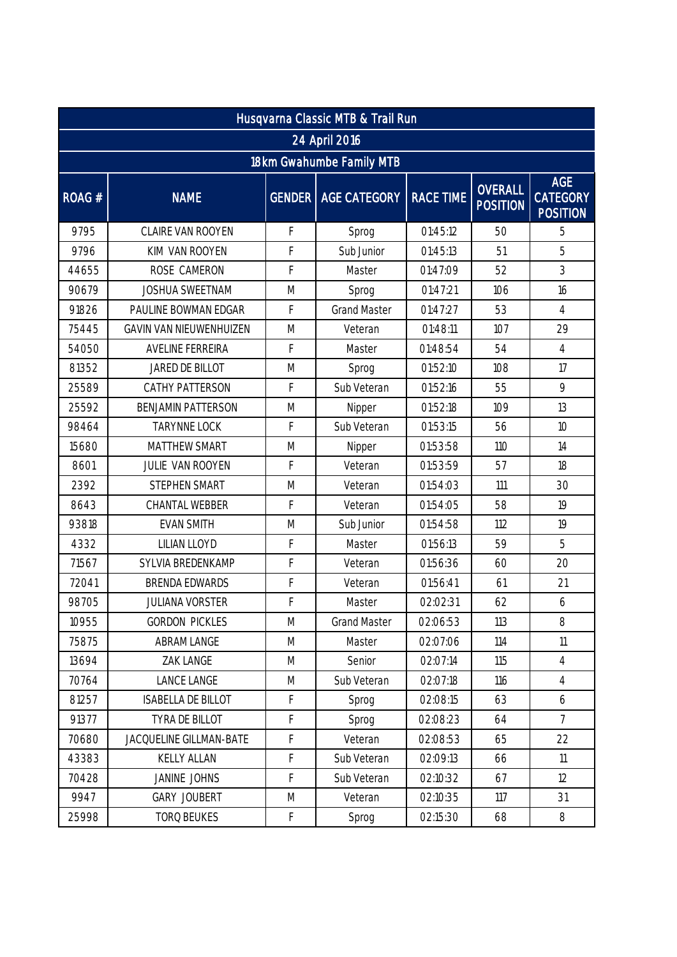| Husqvarna Classic MTB & Trail Run |                           |   |                       |                  |                                   |                                                  |  |  |  |
|-----------------------------------|---------------------------|---|-----------------------|------------------|-----------------------------------|--------------------------------------------------|--|--|--|
|                                   | 24 April 2016             |   |                       |                  |                                   |                                                  |  |  |  |
| 18km Gwahumbe Family MTB          |                           |   |                       |                  |                                   |                                                  |  |  |  |
| ROAG #                            | <b>NAME</b>               |   | GENDER   AGE CATEGORY | <b>RACE TIME</b> | <b>OVERALL</b><br><b>POSITION</b> | <b>AGE</b><br><b>CATEGORY</b><br><b>POSITION</b> |  |  |  |
| 9795                              | CLAIRE VAN ROOYEN         | F | Sprog                 | 01:45:12         | 50                                | 5                                                |  |  |  |
| 9796                              | KIM VAN ROOYEN            | F | Sub Junior            | 01:45:13         | 51                                | 5                                                |  |  |  |
| 44655                             | ROSE CAMERON              | F | Master                | 01:47:09         | 52                                | 3                                                |  |  |  |
| 90679                             | <b>JOSHUA SWEETNAM</b>    | M | Sprog                 | 01:47:21         | 106                               | 16                                               |  |  |  |
| 91826                             | PAULINE BOWMAN EDGAR      | F | <b>Grand Master</b>   | 01:47:27         | 53                                | $\overline{4}$                                   |  |  |  |
| 75445                             | GAVIN VAN NIEUWENHUIZEN   | M | Veteran               | 01:48:11         | 107                               | 29                                               |  |  |  |
| 54050                             | AVELINE FERREIRA          | F | Master                | 01:48:54         | 54                                | $\overline{4}$                                   |  |  |  |
| 81352                             | JARED DE BILLOT           | M | Sprog                 | 01:52:10         | 108                               | 17                                               |  |  |  |
| 25589                             | CATHY PATTERSON           | F | Sub Veteran           | 01:52:16         | 55                                | 9                                                |  |  |  |
| 25592                             | <b>BENJAMIN PATTERSON</b> | M | Nipper                | 01:52:18         | 109                               | 13                                               |  |  |  |
| 98464                             | <b>TARYNNE LOCK</b>       | F | Sub Veteran           | 01:53:15         | 56                                | 10                                               |  |  |  |
| 15680                             | <b>MATTHEW SMART</b>      | M | Nipper                | 01:53:58         | 110                               | 14                                               |  |  |  |
| 8601                              | JULIE VAN ROOYEN          | F | Veteran               | 01:53:59         | 57                                | 18                                               |  |  |  |
| 2392                              | <b>STEPHEN SMART</b>      | M | Veteran               | 01:54:03         | 111                               | 30                                               |  |  |  |
| 8643                              | CHANTAL WEBBER            | F | Veteran               | 01:54:05         | 58                                | 19                                               |  |  |  |
| 93818                             | <b>EVAN SMITH</b>         | M | Sub Junior            | 01:54:58         | 112                               | 19                                               |  |  |  |
| 4332                              | LILIAN LLOYD              | F | Master                | 01:56:13         | 59                                | 5                                                |  |  |  |
| 71567                             | SYLVIA BREDENKAMP         | F | Veteran               | 01:56:36         | 60                                | 20                                               |  |  |  |
| 72041                             | <b>BRENDA EDWARDS</b>     | F | Veteran               | 01:56:41         | 61                                | 21                                               |  |  |  |
| 98705                             | <b>JULIANA VORSTER</b>    | F | Master                | 02:02:31         | 62                                | 6                                                |  |  |  |
| 10955                             | <b>GORDON PICKLES</b>     | M | <b>Grand Master</b>   | 02:06:53         | 113                               | 8                                                |  |  |  |
| 75875                             | ABRAM LANGE               | M | Master                | 02:07:06         | 114                               | 11                                               |  |  |  |
| 13694                             | ZAK LANGE                 | M | Senior                | 02:07:14         | 115                               | $\overline{4}$                                   |  |  |  |
| 70764                             | <b>LANCE LANGE</b>        | M | Sub Veteran           | 02:07:18         | 116                               | $\overline{4}$                                   |  |  |  |
| 81257                             | <b>ISABELLA DE BILLOT</b> | F | Sprog                 | 02:08:15         | 63                                | 6                                                |  |  |  |
| 91377                             | TYRA DE BILLOT            | F | Sprog                 | 02:08:23         | 64                                | $\overline{7}$                                   |  |  |  |
| 70680                             | JACQUELINE GILLMAN-BATE   | F | Veteran               | 02:08:53         | 65                                | 22                                               |  |  |  |
| 43383                             | KELLY ALLAN               | F | Sub Veteran           | 02:09:13         | 66                                | 11                                               |  |  |  |
| 70428                             | JANINE JOHNS              | F | Sub Veteran           | 02:10:32         | 67                                | 12                                               |  |  |  |
| 9947                              | <b>GARY JOUBERT</b>       | M | Veteran               | 02:10:35         | 117                               | 31                                               |  |  |  |
| 25998                             | TORQ BEUKES               | F | Sprog                 | 02:15:30         | 68                                | $\, 8$                                           |  |  |  |